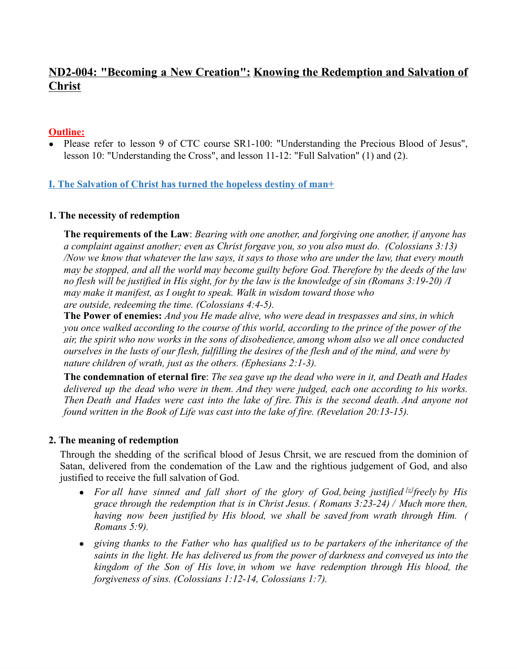# **ND2-004: "Becoming a New Creation": Knowing the Redemption and Salvation of Christ**

## **Outline:**

• Please refer to lesson 9 of CTC course SR1-100: "Understanding the Precious Blood of Jesus", lesson 10: "Understanding the Cross", and lesson 11-12: "Full Salvation" (1) and (2).

## **I. The Salvation of Christ has turned the hopeless destiny of man+**

#### **1. The necessity of redemption**

**The requirements of the Law**: *Bearing with one another, and forgiving one another, if anyone has a complaint against another; even as Christ forgave you, so you also must do. (Colossians 3:13)* Now we know that whatever the law says, it says to those who are under the law, that every mouth may be stopped, and all the world may become guilty before God. Therefore by the deeds of the law no flesh will be justified in His sight, for by the law is the knowledge of sin (Romans  $3:19-20$ ) /I *may make it manifest, as I ought to speak. Walk in wisdom toward those who are outside, redeeming the time. (Colossians 4:4-5).*

**The Power of enemies:** *And you He made alive, who were dead in trespasses and sins, in which* you once walked according to the course of this world, according to the prince of the power of the *air, the spirit who now works in the sons of disobedience, among whom also we all once conducted* ourselves in the lusts of our flesh, fulfilling the desires of the flesh and of the mind, and were by *nature children of wrath, just as the others. (Ephesians 2:1-3).*

The condemnation of eternal fire: The sea gave up the dead who were in it, and Death and Hades *delivered up the dead who were in them. And they were judged, each one according to his works.* Then Death and Hades were cast into the lake of fire. This is the second death. And anyone not *found written in the Book of Life was cast into the lake of fire. (Revelation 20:13-15).*

#### **2. The meaning of redemption**

Through the shedding of the scrifical blood of Jesus Chrsit, we are rescued from the dominion of Satan, delivered from the condemation of the Law and the rightious judgement of God, and also justified to receive the full salvation of God.

- For all have sinned and fall short of the glory of God, being justified  $[$]$  freely by His *grace through the redemption that is in Christ Jesus. ( Romans 3:23-24) / Much more then, having now been justified by His blood, we shall be saved from wrath through Him. ( Romans 5:9).*
- *● giving thanks to the Father who has qualified us to be partakers of the inheritance of the saints in the light. He has delivered us from the power of darkness and conveyed us into the kingdom of the Son of His love, in whom we have redemption through His blood, the forgiveness of sins. (Colossians 1:12-14, Colossians 1:7).*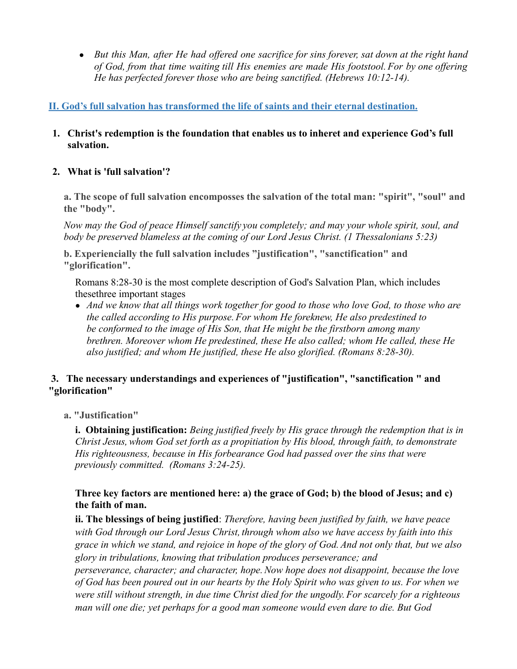• But this Man, after He had offered one sacrifice for sins forever, sat down at the right hand *of God, from that time waiting till His enemies are made His footstool.For by one offering He has perfected forever those who are being sanctified. (Hebrews 10:12-14).*

# **II. God's full salvation has transformed the life of saints and their eternal destination.**

**1. Christ's redemption is the foundation that enables us to inheret and experience God's full salvation.**

## **2. What is 'full salvation'?**

**a. The scope of full salvation encomposses the salvation of the total man: "spirit", "soul" and the "body".**

*Now may the God of peace Himself sanctify you completely; and may your whole spirit, soul, and body be preserved blameless at the coming of our Lord Jesus Christ. (1 Thessalonians 5:23)*

**b. Experiencially the full salvation includes "justification", "sanctification" and "glorification".**

Romans 8:28-30 is the most complete description of God's Salvation Plan, which includes thesethree important stages

• And we know that all things work together for good to those who love God, to those who are *the called according to His purpose.For whom He foreknew, He also predestined to be conformed to the image of His Son, that He might be the firstborn among many brethren. Moreover whom He predestined, these He also called; whom He called, these He also justified; and whom He justified, these He also glorified. (Romans 8:28-30).*

## **3. The necessary understandings and experiences of "justification", "sanctification " and "glorification"**

**a. "Justification"**

**i. Obtaining justification:** *Being justified freely by His grace through the redemption that is in Christ Jesus,whom God set forth as a propitiation by His blood, through faith, to demonstrate His righteousness, because in His forbearance God had passed over the sins that were previously committed. (Romans 3:24-25).*

## **Three key factors are mentioned here: a) the grace of God; b) the blood of Jesus; and c) the faith of man.**

**ii. The blessings of being justified**: *Therefore, having been justified by faith, we have peace with God through our Lord Jesus Christ, through whom also we have access by faith into this* grace in which we stand, and rejoice in hope of the glory of God. And not only that, but we also *glory in tribulations, knowing that tribulation produces perseverance; and perseverance, character; and character, hope.Now hope does not disappoint, because the love* of God has been poured out in our hearts by the Holy Spirit who was given to us. For when we *were still without strength, in due time Christ died for the ungodly.For scarcely for a righteous*

*man will one die; yet perhaps for a good man someone would even dare to die. But God*